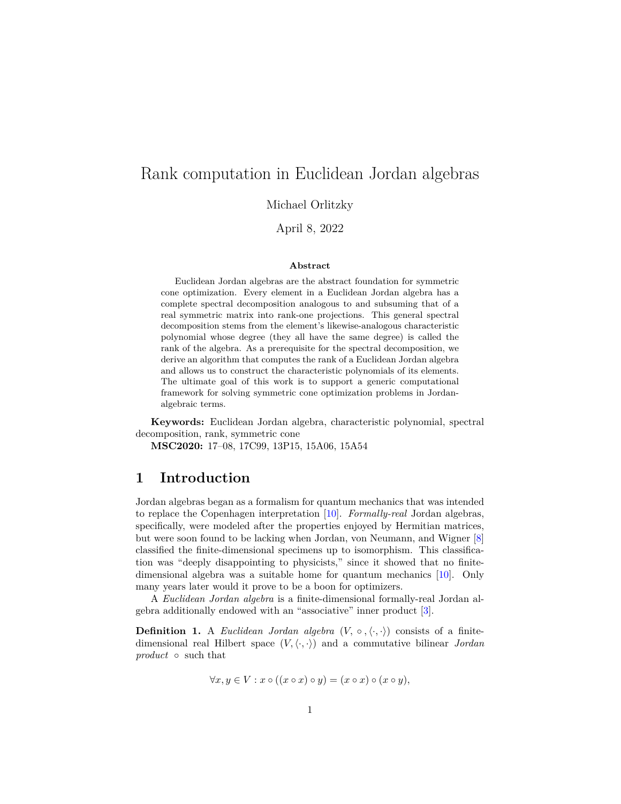# Rank computation in Euclidean Jordan algebras

Michael Orlitzky

April 8, 2022

#### **Abstract**

Euclidean Jordan algebras are the abstract foundation for symmetric cone optimization. Every element in a Euclidean Jordan algebra has a complete spectral decomposition analogous to and subsuming that of a real symmetric matrix into rank-one projections. This general spectral decomposition stems from the element's likewise-analogous characteristic polynomial whose degree (they all have the same degree) is called the rank of the algebra. As a prerequisite for the spectral decomposition, we derive an algorithm that computes the rank of a Euclidean Jordan algebra and allows us to construct the characteristic polynomials of its elements. The ultimate goal of this work is to support a generic computational framework for solving symmetric cone optimization problems in Jordanalgebraic terms.

**Keywords:** Euclidean Jordan algebra, characteristic polynomial, spectral decomposition, rank, symmetric cone

**MSC2020:** 17–08, 17C99, 13P15, 15A06, 15A54

#### **1 Introduction**

Jordan algebras began as a formalism for quantum mechanics that was intended to replace the Copenhagen interpretation [\[10\]](#page-14-0). *Formally-real* Jordan algebras, specifically, were modeled after the properties enjoyed by Hermitian matrices, but were soon found to be lacking when Jordan, von Neumann, and Wigner [\[8\]](#page-14-1) classified the finite-dimensional specimens up to isomorphism. This classification was "deeply disappointing to physicists," since it showed that no finitedimensional algebra was a suitable home for quantum mechanics [\[10\]](#page-14-0). Only many years later would it prove to be a boon for optimizers.

A *Euclidean Jordan algebra* is a finite-dimensional formally-real Jordan algebra additionally endowed with an "associative" inner product [\[3\]](#page-14-2).

<span id="page-0-0"></span>**Definition 1.** A *Euclidean Jordan algebra*  $(V, \circ, \langle \cdot, \cdot \rangle)$  consists of a finitedimensional real Hilbert space  $(V, \langle \cdot, \cdot \rangle)$  and a commutative bilinear *Jordan product* ◦ such that

$$
\forall x, y \in V : x \circ ((x \circ x) \circ y) = (x \circ x) \circ (x \circ y),
$$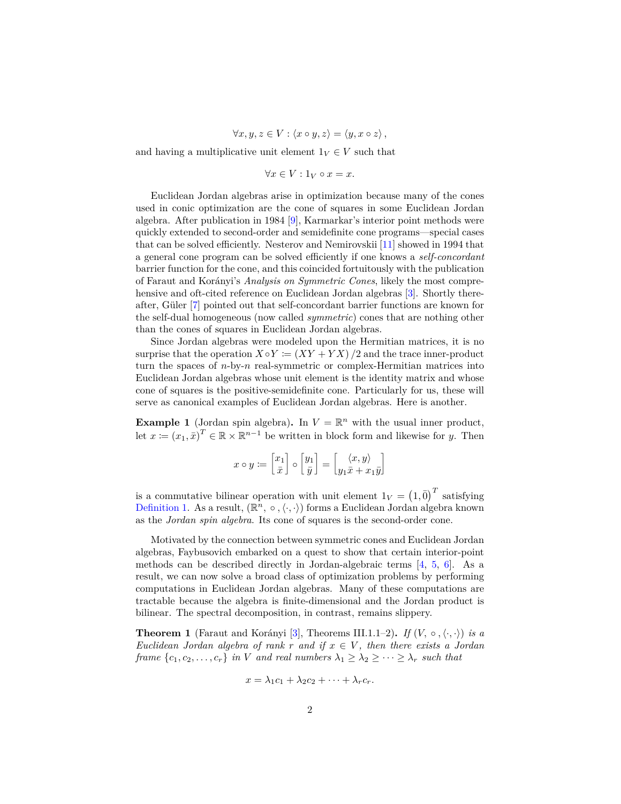$\forall x, y, z \in V : \langle x \circ y, z \rangle = \langle y, x \circ z \rangle,$ 

and having a multiplicative unit element  $1_V \in V$  such that

$$
\forall x \in V : 1_V \circ x = x.
$$

Euclidean Jordan algebras arise in optimization because many of the cones used in conic optimization are the cone of squares in some Euclidean Jordan algebra. After publication in 1984 [\[9\]](#page-14-3), Karmarkar's interior point methods were quickly extended to second-order and semidefinite cone programs—special cases that can be solved efficiently. Nesterov and Nemirovskii [\[11\]](#page-14-4) showed in 1994 that a general cone program can be solved efficiently if one knows a *self-concordant* barrier function for the cone, and this coincided fortuitously with the publication of Faraut and Kor´anyi's *Analysis on Symmetric Cones*, likely the most compre-hensive and oft-cited reference on Euclidean Jordan algebras [\[3\]](#page-14-2). Shortly there-after, Güler [\[7\]](#page-14-5) pointed out that self-concordant barrier functions are known for the self-dual homogeneous (now called *symmetric*) cones that are nothing other than the cones of squares in Euclidean Jordan algebras.

Since Jordan algebras were modeled upon the Hermitian matrices, it is no surprise that the operation  $X \circ Y := (XY + YX)/2$  and the trace inner-product turn the spaces of *n*-by-*n* real-symmetric or complex-Hermitian matrices into Euclidean Jordan algebras whose unit element is the identity matrix and whose cone of squares is the positive-semidefinite cone. Particularly for us, these will serve as canonical examples of Euclidean Jordan algebras. Here is another.

<span id="page-1-1"></span>**Example 1** (Jordan spin algebra). In  $V = \mathbb{R}^n$  with the usual inner product, let  $x := (x_1, \bar{x})^T \in \mathbb{R} \times \mathbb{R}^{n-1}$  be written in block form and likewise for *y*. Then

$$
x \circ y \coloneqq \begin{bmatrix} x_1 \\ \bar{x} \end{bmatrix} \circ \begin{bmatrix} y_1 \\ \bar{y} \end{bmatrix} = \begin{bmatrix} \langle x, y \rangle \\ y_1 \bar{x} + x_1 \bar{y} \end{bmatrix}
$$

is a commutative bilinear operation with unit element  $1_V = (1, \bar{0})^T$  satisfying [Definition 1.](#page-0-0) As a result,  $(\mathbb{R}^n, \circ, \langle \cdot, \cdot \rangle)$  forms a Euclidean Jordan algebra known as the *Jordan spin algebra*. Its cone of squares is the second-order cone.

Motivated by the connection between symmetric cones and Euclidean Jordan algebras, Faybusovich embarked on a quest to show that certain interior-point methods can be described directly in Jordan-algebraic terms  $[4, 5, 6]$  $[4, 5, 6]$  $[4, 5, 6]$  $[4, 5, 6]$  $[4, 5, 6]$ . As a result, we can now solve a broad class of optimization problems by performing computations in Euclidean Jordan algebras. Many of these computations are tractable because the algebra is finite-dimensional and the Jordan product is bilinear. The spectral decomposition, in contrast, remains slippery.

<span id="page-1-0"></span>**Theorem 1** (Faraut and Korányi [\[3\]](#page-14-2), Theorems III.1.1–2). If  $(V, \circ, \langle \cdot, \cdot \rangle)$  is a *Euclidean Jordan algebra of rank r and if x* ∈ *V , then there exists a Jordan frame*  ${c_1, c_2, ..., c_r}$  *in V and real numbers*  $\lambda_1 \geq \lambda_2 \geq ... \geq \lambda_r$  *such that* 

$$
x = \lambda_1 c_1 + \lambda_2 c_2 + \cdots + \lambda_r c_r.
$$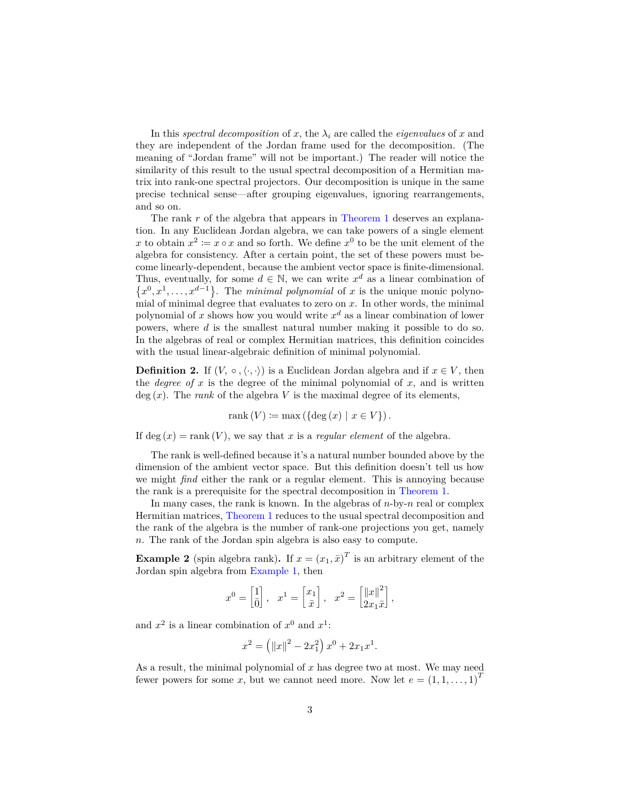In this *spectral decomposition* of *x*, the  $\lambda_i$  are called the *eigenvalues* of *x* and they are independent of the Jordan frame used for the decomposition. (The meaning of "Jordan frame" will not be important.) The reader will notice the similarity of this result to the usual spectral decomposition of a Hermitian matrix into rank-one spectral projectors. Our decomposition is unique in the same precise technical sense—after grouping eigenvalues, ignoring rearrangements, and so on.

The rank *r* of the algebra that appears in [Theorem 1](#page-1-0) deserves an explanation. In any Euclidean Jordan algebra, we can take powers of a single element x to obtain  $x^2 := x \circ x$  and so forth. We define  $x^0$  to be the unit element of the algebra for consistency. After a certain point, the set of these powers must become linearly-dependent, because the ambient vector space is finite-dimensional. Thus, eventually, for some  $d \in \mathbb{N}$ , we can write  $x^d$  as a linear combination of  $\{x^0, x^1, \ldots, x^{d-1}\}\$ . The *minimal polynomial* of *x* is the unique monic polynomial of minimal degree that evaluates to zero on *x*. In other words, the minimal polynomial of  $x$  shows how you would write  $x^d$  as a linear combination of lower powers, where *d* is the smallest natural number making it possible to do so. In the algebras of real or complex Hermitian matrices, this definition coincides with the usual linear-algebraic definition of minimal polynomial.

<span id="page-2-1"></span>**Definition 2.** If  $(V, \circ, \langle \cdot, \cdot \rangle)$  is a Euclidean Jordan algebra and if  $x \in V$ , then the *degree* of  $x$  is the degree of the minimal polynomial of  $x$ , and is written  $deg(x)$ . The *rank* of the algebra *V* is the maximal degree of its elements,

$$
rank(V) := max(\{ deg(x) | x \in V \}).
$$

If deg  $(x) = \text{rank}(V)$ , we say that *x* is a *regular element* of the algebra.

The rank is well-defined because it's a natural number bounded above by the dimension of the ambient vector space. But this definition doesn't tell us how we might *find* either the rank or a regular element. This is annoying because the rank is a prerequisite for the spectral decomposition in [Theorem 1.](#page-1-0)

In many cases, the rank is known. In the algebras of *n*-by-*n* real or complex Hermitian matrices, [Theorem 1](#page-1-0) reduces to the usual spectral decomposition and the rank of the algebra is the number of rank-one projections you get, namely *n*. The rank of the Jordan spin algebra is also easy to compute.

<span id="page-2-0"></span>**Example 2** (spin algebra rank). If  $x = (x_1, \bar{x})^T$  is an arbitrary element of the Jordan spin algebra from [Example 1,](#page-1-1) then

$$
x^0 = \begin{bmatrix} 1 \\ \bar{0} \end{bmatrix}, \quad x^1 = \begin{bmatrix} x_1 \\ \bar{x} \end{bmatrix}, \quad x^2 = \begin{bmatrix} ||x||^2 \\ 2x_1\bar{x} \end{bmatrix},
$$

and  $x^2$  is a linear combination of  $x^0$  and  $x^1$ :

$$
x^{2} = \left(\|x\|^{2} - 2x_{1}^{2}\right)x^{0} + 2x_{1}x^{1}.
$$

As a result, the minimal polynomial of *x* has degree two at most. We may need fewer powers for some *x*, but we cannot need more. Now let  $e = (1, 1, \ldots, 1)^T$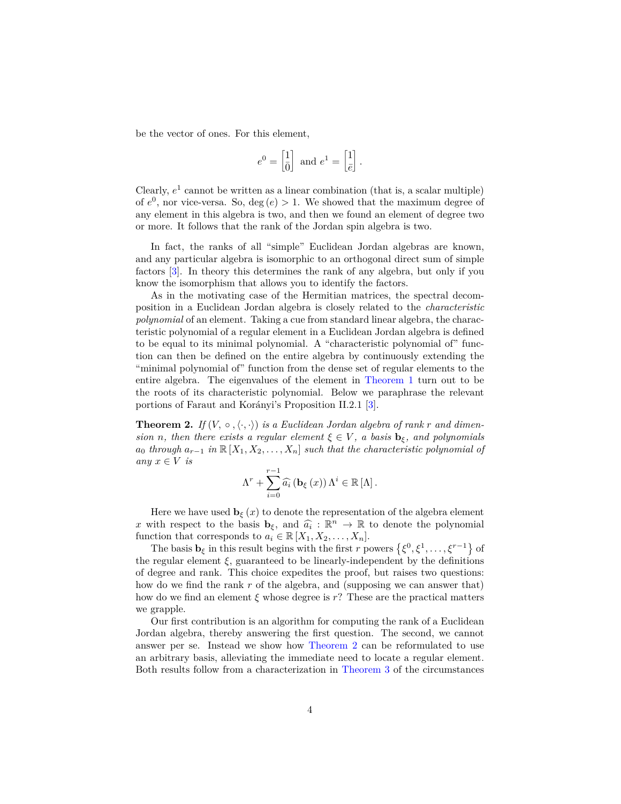be the vector of ones. For this element,

$$
e^0 = \begin{bmatrix} 1 \\ \bar{0} \end{bmatrix} \text{ and } e^1 = \begin{bmatrix} 1 \\ \bar{e} \end{bmatrix}.
$$

Clearly,  $e<sup>1</sup>$  cannot be written as a linear combination (that is, a scalar multiple) of  $e^0$ , nor vice-versa. So, deg  $(e) > 1$ . We showed that the maximum degree of any element in this algebra is two, and then we found an element of degree two or more. It follows that the rank of the Jordan spin algebra is two.

In fact, the ranks of all "simple" Euclidean Jordan algebras are known, and any particular algebra is isomorphic to an orthogonal direct sum of simple factors [\[3\]](#page-14-2). In theory this determines the rank of any algebra, but only if you know the isomorphism that allows you to identify the factors.

As in the motivating case of the Hermitian matrices, the spectral decomposition in a Euclidean Jordan algebra is closely related to the *characteristic polynomial* of an element. Taking a cue from standard linear algebra, the characteristic polynomial of a regular element in a Euclidean Jordan algebra is defined to be equal to its minimal polynomial. A "characteristic polynomial of" function can then be defined on the entire algebra by continuously extending the "minimal polynomial of" function from the dense set of regular elements to the entire algebra. The eigenvalues of the element in [Theorem 1](#page-1-0) turn out to be the roots of its characteristic polynomial. Below we paraphrase the relevant portions of Faraut and Korányi's Proposition II.2.1 [\[3\]](#page-14-2).

<span id="page-3-0"></span>**Theorem 2.** *If*  $(V, \circ, \langle \cdot, \cdot \rangle)$  *is a Euclidean Jordan algebra of rank r and dimension n*, then there exists a regular element  $\xi \in V$ , a basis  $\mathbf{b}_{\xi}$ , and polynomials  $a_0$  *through*  $a_{r-1}$  *in*  $\mathbb{R}[X_1, X_2, \ldots, X_n]$  *such that the characteristic polynomial of any*  $x \in V$  *is* 

$$
\Lambda^{r} + \sum_{i=0}^{r-1} \widehat{a}_{i} \left( \mathbf{b}_{\xi} \left( x \right) \right) \Lambda^{i} \in \mathbb{R} \left[ \Lambda \right].
$$

Here we have used  $\mathbf{b}_{\xi}(x)$  to denote the representation of the algebra element *x* with respect to the basis  $\mathbf{b}_{\xi}$ , and  $\widehat{a}_i : \mathbb{R}^n \to \mathbb{R}$  to denote the polynomial function that corresponds to  $a_i \in \mathbb{R}$  [*Y*, *Y*, *Y*] function that corresponds to  $a_i \in \mathbb{R}[X_1, X_2, \ldots, X_n].$ 

The basis  $\mathbf{b}_{\xi}$  in this result begins with the first *r* powers  $\{\xi^0, \xi^1, \dots, \xi^{r-1}\}$  of the regular element  $\xi$ , guaranteed to be linearly-independent by the definitions of degree and rank. This choice expedites the proof, but raises two questions: how do we find the rank *r* of the algebra, and (supposing we can answer that) how do we find an element  $\xi$  whose degree is  $r$ ? These are the practical matters we grapple.

Our first contribution is an algorithm for computing the rank of a Euclidean Jordan algebra, thereby answering the first question. The second, we cannot answer per se. Instead we show how [Theorem 2](#page-3-0) can be reformulated to use an arbitrary basis, alleviating the immediate need to locate a regular element. Both results follow from a characterization in [Theorem 3](#page-6-0) of the circumstances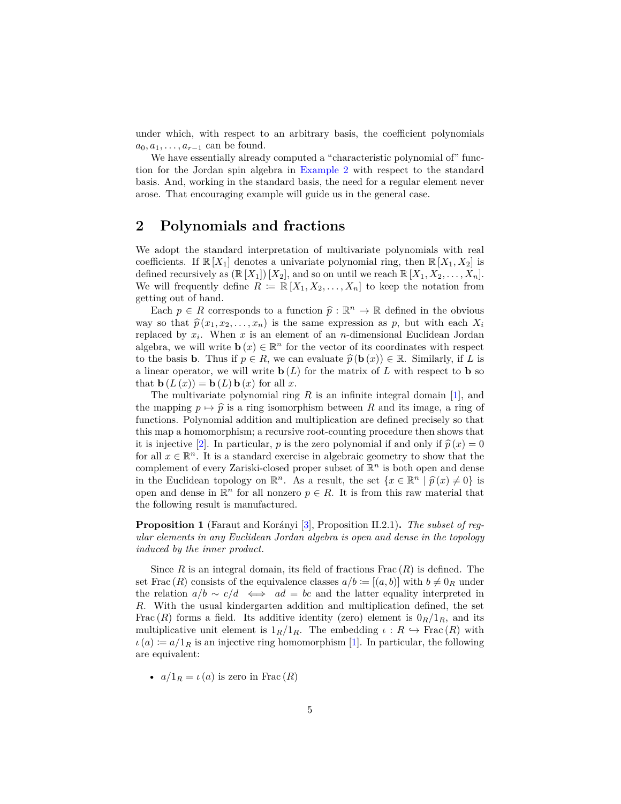under which, with respect to an arbitrary basis, the coefficient polynomials  $a_0, a_1, \ldots, a_{r-1}$  can be found.

We have essentially already computed a "characteristic polynomial of" function for the Jordan spin algebra in [Example 2](#page-2-0) with respect to the standard basis. And, working in the standard basis, the need for a regular element never arose. That encouraging example will guide us in the general case.

# **2 Polynomials and fractions**

We adopt the standard interpretation of multivariate polynomials with real coefficients. If  $\mathbb{R}[X_1]$  denotes a univariate polynomial ring, then  $\mathbb{R}[X_1, X_2]$  is defined recursively as  $(\mathbb{R}[X_1])[X_2]$ , and so on until we reach  $\mathbb{R}[X_1, X_2, \ldots, X_n]$ . We will frequently define  $R := \mathbb{R}[X_1, X_2, \ldots, X_n]$  to keep the notation from getting out of hand.

Each  $p \in R$  corresponds to a function  $\hat{p} : \mathbb{R}^n \to \mathbb{R}$  defined in the obvious  $p \in R$  or that  $\hat{p}(x, x_0, x_1)$  is the same expression as  $p$  but with each  $X$ . way so that  $\hat{p}(x_1, x_2, \ldots, x_n)$  is the same expression as p, but with each  $X_i$ replaced by *x<sup>i</sup>* . When *x* is an element of an *n*-dimensional Euclidean Jordan algebra, we will write  $\mathbf{b}(x) \in \mathbb{R}^n$  for the vector of its coordinates with respect to the basis **b**. Thus if  $p \in R$ , we can evaluate  $\hat{p}(\mathbf{b}(x)) \in \mathbb{R}$ . Similarly, if *L* is a linear operator, we will write  $\mathbf{b}(L)$  for the matrix of  $L$  with respect to  $\mathbf{b}$  so that  $\mathbf{b}(L(x)) = \mathbf{b}(L)\mathbf{b}(x)$  for all x.

The multivariate polynomial ring *R* is an infinite integral domain [\[1\]](#page-13-0), and the mapping  $p \mapsto \hat{p}$  is a ring isomorphism between R and its image, a ring of functions. Polynomial addition and multiplication are defined precisely so that this map a homomorphism; a recursive root-counting procedure then shows that it is injective [\[2\]](#page-14-9). In particular, *p* is the zero polynomial if and only if  $\hat{p}(x) = 0$ for all  $x \in \mathbb{R}^n$ . It is a standard exercise in algebraic geometry to show that the complement of every Zariski-closed proper subset of R *<sup>n</sup>* is both open and dense in the Euclidean topology on  $\mathbb{R}^n$ . As a result, the set  $\{x \in \mathbb{R}^n \mid \hat{p}(x) \neq 0\}$  is open and dense in  $\mathbb{R}^n$  for all nonzero  $p \in R$ . It is from this raw material that the following result is manufactured.

**Proposition 1** (Faraut and Korányi [\[3\]](#page-14-2), Proposition II.2.1). *The subset of regular elements in any Euclidean Jordan algebra is open and dense in the topology induced by the inner product.*

Since  $R$  is an integral domain, its field of fractions  $Frac(R)$  is defined. The set Frac  $(R)$  consists of the equivalence classes  $a/b := [(a, b)]$  with  $b \neq 0_R$  under the relation  $a/b \sim c/d \iff ad = bc$  and the latter equality interpreted in *R*. With the usual kindergarten addition and multiplication defined, the set Frac  $(R)$  forms a field. Its additive identity (zero) element is  $0_R/1_R$ , and its multiplicative unit element is  $1_R/1_R$ . The embedding  $\iota : R \hookrightarrow \text{Frac}(R)$  with  $\iota(a) := a/1_R$  is an injective ring homomorphism [\[1\]](#page-13-0). In particular, the following are equivalent:

•  $a/1_R = \iota(a)$  is zero in Frac  $(R)$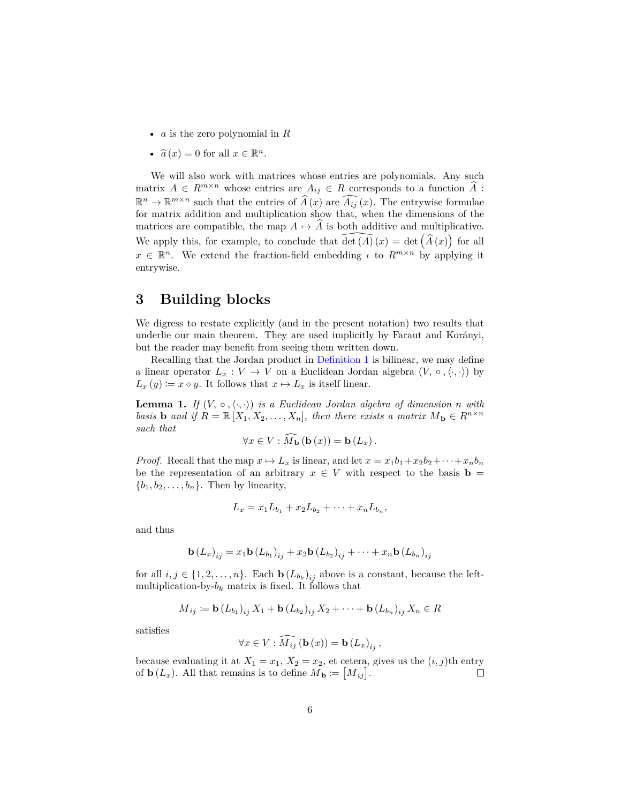- *a* is the zero polynomial in *R*
- $\hat{a}(x) = 0$  for all  $x \in \mathbb{R}^n$ .

We will also work with matrices whose entries are polynomials. Any such matrix  $A \in R^{m \times n}$  whose entries are  $A_{ij} \in R$  corresponds to a function  $\tilde{A}$ :  $\mathbb{R}^n \to \mathbb{R}^{m \times n}$  such that the entries of  $\widehat{A}(x)$  are  $\widehat{A}_{ij}(x)$ . The entrywise formulae for matrix addition and multiplication show that, when the dimensions of the matrices are compatible, the map  $A \mapsto A$  is both additive and multiplicative. We apply this, for example, to conclude that  $\widehat{\det(A)}(x) = \det(\widehat{A}(x))$  for all  $x \in \mathbb{R}^n$ . We extend the fraction-field embedding *ι* to  $R^{m \times n}$  by applying it entrywise.

# **3 Building blocks**

We digress to restate explicitly (and in the present notation) two results that underlie our main theorem. They are used implicitly by Faraut and Korányi, but the reader may benefit from seeing them written down.

Recalling that the Jordan product in [Definition 1](#page-0-0) is bilinear, we may define a linear operator  $L_x : V \to V$  on a Euclidean Jordan algebra  $(V, \circ, \langle \cdot, \cdot \rangle)$  by  $L_x(y) \coloneqq x \circ y$ . It follows that  $x \mapsto L_x$  is itself linear.

<span id="page-5-0"></span>**Lemma 1.** *If*  $(V, \circ, \langle \cdot, \cdot \rangle)$  *is a Euclidean Jordan algebra of dimension n with basis* **b** and if  $R = \mathbb{R}[X_1, X_2, \ldots, X_n]$ , then there exists a matrix  $M_{\bf{b}} \in R^{n \times n}$ *such that*

$$
\forall x \in V : M_{\mathbf{b}}\left(\mathbf{b}\left(x\right)\right) = \mathbf{b}\left(L_x\right).
$$

*Proof.* Recall that the map  $x \mapsto L_x$  is linear, and let  $x = x_1b_1 + x_2b_2 + \cdots + x_nb_n$ be the representation of an arbitrary  $x \in V$  with respect to the basis **b** =  ${b_1, b_2, \ldots, b_n}$ . Then by linearity,

$$
L_x = x_1 L_{b_1} + x_2 L_{b_2} + \cdots + x_n L_{b_n},
$$

and thus

$$
\mathbf{b} (L_{x})_{ij} = x_{1} \mathbf{b} (L_{b_{1}})_{ij} + x_{2} \mathbf{b} (L_{b_{2}})_{ij} + \cdots + x_{n} \mathbf{b} (L_{b_{n}})_{ij}
$$

for all  $i, j \in \{1, 2, \ldots, n\}$ . Each  $\mathbf{b}(L_{b_k})_{ij}$  above is a constant, because the leftmultiplication-by- $b_k$  matrix is fixed. It follows that

$$
M_{ij} \coloneqq \mathbf{b} (L_{b_1})_{ij} X_1 + \mathbf{b} (L_{b_2})_{ij} X_2 + \cdots + \mathbf{b} (L_{b_n})_{ij} X_n \in R
$$

satisfies

$$
\forall x \in V : \widehat{M_{ij}}\left(\mathbf{b}\left(x\right)\right) = \mathbf{b}\left(L_x\right)_{ij},
$$

because evaluating it at  $X_1 = x_1, X_2 = x_2$ , et cetera, gives us the  $(i, j)$ <sup>th</sup> entry of  $\mathbf{b}(L_x)$ . All that remains is to define  $M_{\mathbf{b}} \coloneqq [M_{ij}]$ .  $\Box$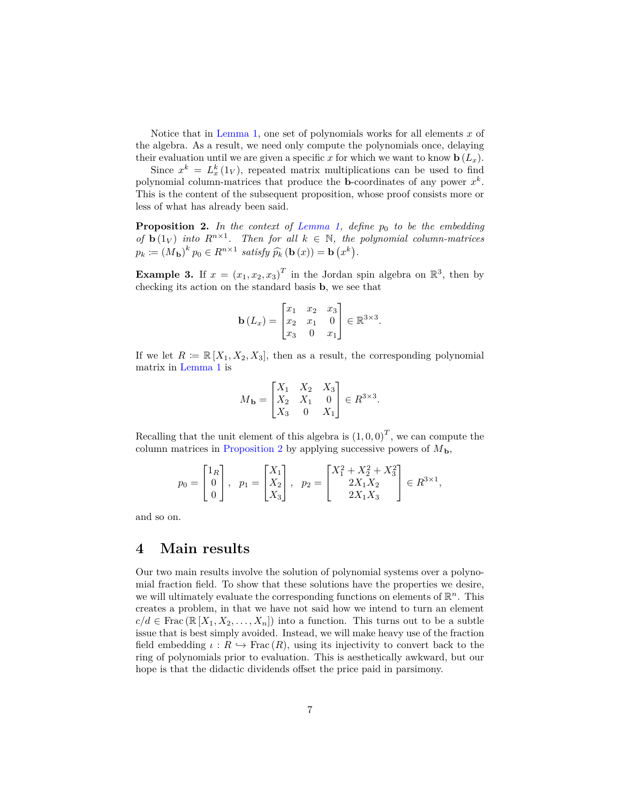Notice that in [Lemma 1,](#page-5-0) one set of polynomials works for all elements *x* of the algebra. As a result, we need only compute the polynomials once, delaying their evaluation until we are given a specific x for which we want to know  $\mathbf{b}(L_x)$ .

Since  $x^k = L_x^k(1_V)$ , repeated matrix multiplications can be used to find polynomial column-matrices that produce the **b**-coordinates of any power  $x^k$ . This is the content of the subsequent proposition, whose proof consists more or less of what has already been said.

<span id="page-6-1"></span>**Proposition 2.** *In the context of [Lemma 1,](#page-5-0) define p*<sup>0</sup> *to be the embedding of* **b**  $(1_V)$  *into*  $R^{n \times 1}$ *. Then for all*  $k \in \mathbb{N}$ *, the polynomial column-matrices*  $p_k := (M_{\mathbf{b}})^k p_0 \in R^{n \times 1}$  satisfy  $\widehat{p_k} (\mathbf{b}(x)) = \mathbf{b}(x^k)$ .

<span id="page-6-2"></span>**Example 3.** If  $x = (x_1, x_2, x_3)^T$  in the Jordan spin algebra on  $\mathbb{R}^3$ , then by checking its action on the standard basis **b**, we see that

$$
\mathbf{b}(L_x) = \begin{bmatrix} x_1 & x_2 & x_3 \\ x_2 & x_1 & 0 \\ x_3 & 0 & x_1 \end{bmatrix} \in \mathbb{R}^{3 \times 3}.
$$

If we let  $R := \mathbb{R}[X_1, X_2, X_3]$ , then as a result, the corresponding polynomial matrix in [Lemma 1](#page-5-0) is

$$
M_{\mathbf{b}} = \begin{bmatrix} X_1 & X_2 & X_3 \\ X_2 & X_1 & 0 \\ X_3 & 0 & X_1 \end{bmatrix} \in R^{3 \times 3}.
$$

Recalling that the unit element of this algebra is  $(1,0,0)^T$ , we can compute the column matrices in [Proposition 2](#page-6-1) by applying successive powers of  $M_{\mathbf{b}}$ ,

$$
p_0 = \begin{bmatrix} 1_R \\ 0 \\ 0 \end{bmatrix}, \quad p_1 = \begin{bmatrix} X_1 \\ X_2 \\ X_3 \end{bmatrix}, \quad p_2 = \begin{bmatrix} X_1^2 + X_2^2 + X_3^2 \\ 2X_1X_2 \\ 2X_1X_3 \end{bmatrix} \in R^{3 \times 1},
$$

and so on.

### **4 Main results**

<span id="page-6-0"></span>Our two main results involve the solution of polynomial systems over a polynomial fraction field. To show that these solutions have the properties we desire, we will ultimately evaluate the corresponding functions on elements of  $\mathbb{R}^n$ . This creates a problem, in that we have not said how we intend to turn an element  $c/d \in \text{Frac}(\mathbb{R}[X_1, X_2, \ldots, X_n])$  into a function. This turns out to be a subtle issue that is best simply avoided. Instead, we will make heavy use of the fraction field embedding  $\iota : R \hookrightarrow \text{Frac}(R)$ , using its injectivity to convert back to the ring of polynomials prior to evaluation. This is aesthetically awkward, but our hope is that the didactic dividends offset the price paid in parsimony.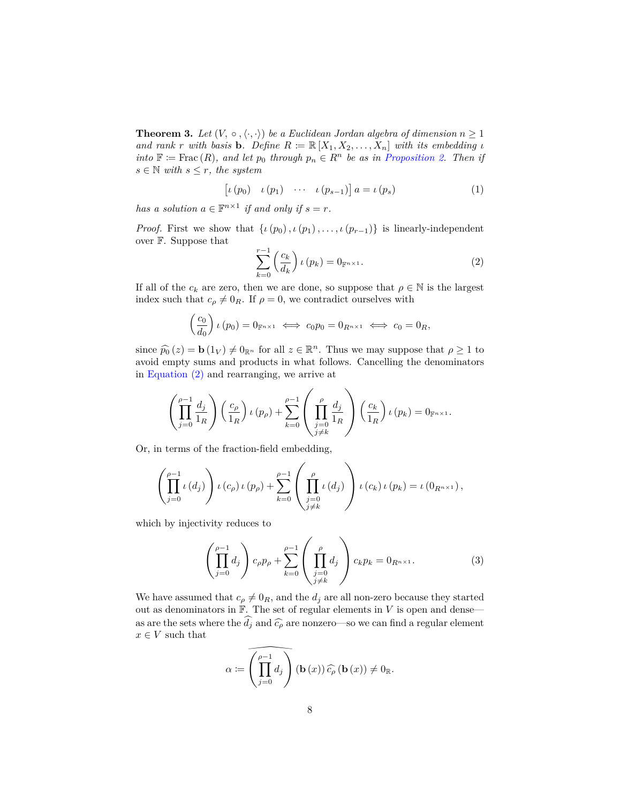**Theorem 3.** *Let*  $(V, \circ, \langle \cdot, \cdot \rangle)$  *be a Euclidean Jordan algebra of dimension*  $n \geq 1$ *and rank r with basis* **b***. Define*  $R := \mathbb{R}[X_1, X_2, \ldots, X_n]$  *with its embedding ι into*  $\mathbb{F} \coloneqq \text{Frac}(R)$ *, and let*  $p_0$  *through*  $p_n \in R^n$  *be as in [Proposition 2.](#page-6-1) Then if*  $s \in \mathbb{N}$  *with*  $s \leq r$ *, the system* 

<span id="page-7-2"></span>
$$
\left[\iota\left(p_{0}\right) \quad \iota\left(p_{1}\right) \quad \cdots \quad \iota\left(p_{s-1}\right)\right] a = \iota\left(p_{s}\right) \tag{1}
$$

*has a solution*  $a \in \mathbb{F}^{n \times 1}$  *if and only if*  $s = r$ *.* 

*Proof.* First we show that  $\{i(p_0), i(p_1), \ldots, i(p_{r-1})\}$  is linearly-independent over F. Suppose that

<span id="page-7-0"></span>
$$
\sum_{k=0}^{r-1} \left(\frac{c_k}{d_k}\right) \iota\left(p_k\right) = 0_{\mathbb{F}^{n \times 1}}.\tag{2}
$$

If all of the  $c_k$  are zero, then we are done, so suppose that  $\rho \in \mathbb{N}$  is the largest index such that  $c_{\rho} \neq 0_R$ . If  $\rho = 0$ , we contradict ourselves with

$$
\left(\frac{c_0}{d_0}\right)\iota\left(p_0\right) = 0_{\mathbb{F}^{n \times 1}} \iff c_0 p_0 = 0_{R^{n \times 1}} \iff c_0 = 0_R,
$$

since  $\widehat{p}_0(z) = \mathbf{b}(1_V) \neq 0_{\mathbb{R}^n}$  for all  $z \in \mathbb{R}^n$ . Thus we may suppose that  $\rho \geq 1$  to avoid omnity sums and products in what follows. Cancelling the denominators avoid empty sums and products in what follows. Cancelling the denominators in [Equation \(2\)](#page-7-0) and rearranging, we arrive at

$$
\left(\prod_{j=0}^{\rho-1}\frac{d_j}{1_R}\right)\left(\frac{c_\rho}{1_R}\right)\iota\left(p_\rho\right)+\sum_{k=0}^{\rho-1}\left(\prod_{\substack{j=0\\j\neq k}}^{\rho}\frac{d_j}{1_R}\right)\left(\frac{c_k}{1_R}\right)\iota\left(p_k\right)=0_{\mathbb{F}^{n\times 1}}.
$$

Or, in terms of the fraction-field embedding,

$$
\left(\prod_{j=0}^{\rho-1} \iota(d_j)\right) \iota(c_\rho) \iota(p_\rho) + \sum_{k=0}^{\rho-1} \left(\prod_{\substack{j=0 \ j\neq k}}^{\rho} \iota(d_j)\right) \iota(c_k) \iota(p_k) = \iota(0_{R^{n\times 1}}),
$$

which by injectivity reduces to

<span id="page-7-1"></span>
$$
\left(\prod_{j=0}^{\rho-1} d_j\right) c_\rho p_\rho + \sum_{k=0}^{\rho-1} \left(\prod_{\substack{j=0 \ j\neq k}}^{\rho} d_j\right) c_k p_k = 0_{R^{n\times 1}}.\tag{3}
$$

We have assumed that  $c_{\rho} \neq 0_R$ , and the  $d_j$  are all non-zero because they started out as denominators in  $\mathbb{F}$ . The set of regular elements in  $V$  is open and denseas are the sets where the  $\widehat{d}_j$  and  $\widehat{c}_\rho$  are nonzero—so we can find a regular element  $x \in V$  such that

$$
\alpha := \left(\prod_{j=0}^{\rho-1} d_j\right) (\mathbf{b}(x)) \widehat{c_\rho} (\mathbf{b}(x)) \neq 0_{\mathbb{R}}.
$$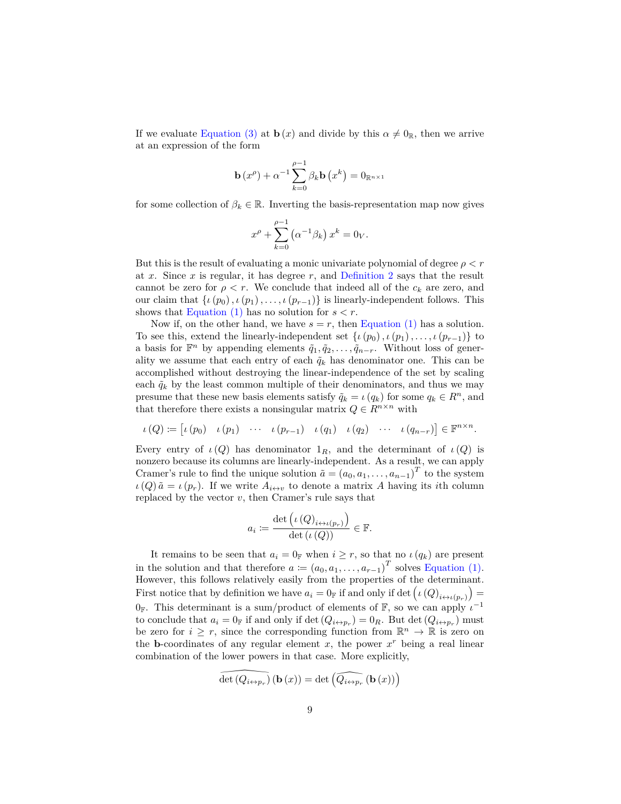If we evaluate [Equation \(3\)](#page-7-1) at **b** (*x*) and divide by this  $\alpha \neq 0_R$ , then we arrive at an expression of the form

$$
\mathbf{b}(x^{\rho}) + \alpha^{-1} \sum_{k=0}^{\rho-1} \beta_k \mathbf{b}(x^k) = 0_{\mathbb{R}^{n \times 1}}
$$

for some collection of  $\beta_k \in \mathbb{R}$ . Inverting the basis-representation map now gives

$$
x^{\rho} + \sum_{k=0}^{\rho-1} (\alpha^{-1} \beta_k) x^k = 0_V.
$$

But this is the result of evaluating a monic univariate polynomial of degree  $\rho < r$ at *x*. Since *x* is regular, it has degree *r*, and [Definition 2](#page-2-1) says that the result cannot be zero for  $\rho < r$ . We conclude that indeed all of the  $c_k$  are zero, and our claim that  $\{ \iota(p_0), \iota(p_1), \ldots, \iota(p_{r-1}) \}$  is linearly-independent follows. This shows that Equation  $(1)$  has no solution for  $s < r$ .

Now if, on the other hand, we have  $s = r$ , then [Equation \(1\)](#page-7-2) has a solution. To see this, extend the linearly-independent set  $\{\iota(p_0), \iota(p_1), \ldots, \iota(p_{r-1})\}$  to a basis for  $\mathbb{F}^n$  by appending elements  $\tilde{q}_1, \tilde{q}_2, \ldots, \tilde{q}_{n-r}$ . Without loss of generality we assume that each entry of each  $\tilde{q}_k$  has denominator one. This can be accomplished without destroying the linear-independence of the set by scaling each  $\tilde{q}_k$  by the least common multiple of their denominators, and thus we may presume that these new basis elements satisfy  $\tilde{q}_k = \iota(q_k)$  for some  $q_k \in \mathbb{R}^n$ , and that therefore there exists a nonsingular matrix  $Q \in R^{n \times n}$  with

$$
\iota(Q) \coloneqq \begin{bmatrix} \iota(p_0) & \iota(p_1) & \cdots & \iota(p_{r-1}) & \iota(q_1) & \iota(q_2) & \cdots & \iota(q_{n-r}) \end{bmatrix} \in \mathbb{F}^{n \times n}.
$$

Every entry of  $\iota(Q)$  has denominator  $1_R$ , and the determinant of  $\iota(Q)$  is nonzero because its columns are linearly-independent. As a result, we can apply Cramer's rule to find the unique solution  $\tilde{a} = (a_0, a_1, \ldots, a_{n-1})^T$  to the system  $\iota(Q) \tilde{a} = \iota(p_r)$ . If we write  $A_{i \leftrightarrow v}$  to denote a matrix *A* having its *i*th column replaced by the vector *v*, then Cramer's rule says that

$$
a_i := \frac{\det\left(\iota\left(Q\right)_{i \leftrightarrow \iota\left(p_r\right)}\right)}{\det\left(\iota\left(Q\right)\right)} \in \mathbb{F}.
$$

It remains to be seen that  $a_i = 0_F$  when  $i \geq r$ , so that no  $\iota(q_k)$  are present in the solution and that therefore  $a := (a_0, a_1, \ldots, a_{r-1})^T$  solves [Equation \(1\).](#page-7-2) However, this follows relatively easily from the properties of the determinant. First notice that by definition we have  $a_i = 0$  and only if det  $(\iota(Q)_{i \leftrightarrow \iota(p_r)}) =$  $0_{\mathbb{F}}$ . This determinant is a sum/product of elements of  $\mathbb{F}$ , so we can apply  $\iota^{-1}$ to conclude that  $a_i = 0_F$  if and only if det  $(Q_{i \leftrightarrow p_r}) = 0_R$ . But det  $(Q_{i \leftrightarrow p_r})$  must be zero for  $i \geq r$ , since the corresponding function from  $\mathbb{R}^n \to \mathbb{R}$  is zero on the **b**-coordinates of any regular element  $x$ , the power  $x^r$  being a real linear combination of the lower powers in that case. More explicitly,

$$
\widehat{\det\left(Q_{i\leftrightarrow p_{r}}\right)}\left(\mathbf{b}\left(x\right)\right)=\det\left(\widehat{Q_{i\leftrightarrow p_{r}}}\left(\mathbf{b}\left(x\right)\right)\right)
$$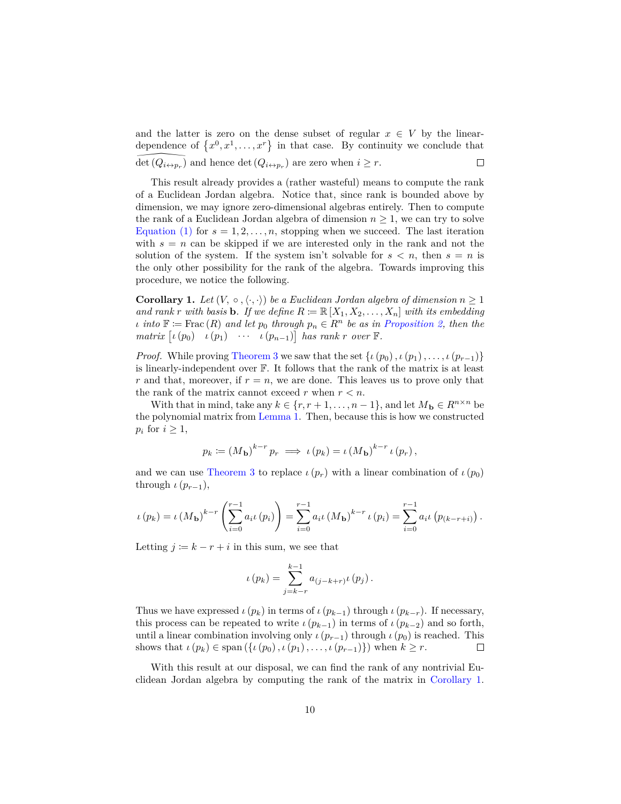and the latter is zero on the dense subset of regular  $x \in V$  by the lineardependence of  $\{x^0, x^1, \ldots, x^r\}$  in that case. By continuity we conclude that det  $(Q_{i\leftrightarrow p_r})$  and hence det  $(Q_{i\leftrightarrow p_r})$  are zero when  $i \geq r$ .  $\Box$ 

This result already provides a (rather wasteful) means to compute the rank of a Euclidean Jordan algebra. Notice that, since rank is bounded above by dimension, we may ignore zero-dimensional algebras entirely. Then to compute the rank of a Euclidean Jordan algebra of dimension  $n \geq 1$ , we can try to solve [Equation \(1\)](#page-7-2) for  $s = 1, 2, \ldots, n$ , stopping when we succeed. The last iteration with  $s = n$  can be skipped if we are interested only in the rank and not the solution of the system. If the system isn't solvable for  $s < n$ , then  $s = n$  is the only other possibility for the rank of the algebra. Towards improving this procedure, we notice the following.

<span id="page-9-0"></span>**Corollary 1.** Let  $(V, \circ, \langle \cdot, \cdot \rangle)$  be a Euclidean Jordan algebra of dimension  $n \geq 1$ *and rank r with basis* **b***. If we define*  $R := \mathbb{R}[X_1, X_2, \ldots, X_n]$  *with its embedding*  $\iota$  *into*  $\mathbb{F} := \text{Frac}(R)$  *and let*  $p_0$  *through*  $p_n \in R^n$  *be as in [Proposition 2,](#page-6-1) then the*  $matrix \left[ \iota(p_0) \quad \iota(p_1) \quad \cdots \quad \iota(p_{n-1}) \right]$  has rank *r* over **F**.

*Proof.* While proving [Theorem 3](#page-6-0) we saw that the set  $\{i(p_0), i(p_1), \ldots, i(p_{r-1})\}$ is linearly-independent over F. It follows that the rank of the matrix is at least *r* and that, moreover, if  $r = n$ , we are done. This leaves us to prove only that the rank of the matrix cannot exceed  $r$  when  $r < n$ .

With that in mind, take any  $k \in \{r, r+1, \ldots, n-1\}$ , and let  $M_{\mathbf{b}} \in R^{n \times n}$  be the polynomial matrix from [Lemma 1.](#page-5-0) Then, because this is how we constructed  $p_i$  for  $i \geq 1$ ,

$$
p_k := (M_{\mathbf{b}})^{k-r} p_r \implies \iota(p_k) = \iota(M_{\mathbf{b}})^{k-r} \iota(p_r),
$$

and we can use [Theorem 3](#page-6-0) to replace  $\iota(p_r)$  with a linear combination of  $\iota(p_0)$ through  $\iota(p_{r-1}),$ 

$$
\iota(p_k) = \iota(M_{\mathbf{b}})^{k-r} \left( \sum_{i=0}^{r-1} a_{i} \iota(p_i) \right) = \sum_{i=0}^{r-1} a_{i} \iota(M_{\mathbf{b}})^{k-r} \iota(p_i) = \sum_{i=0}^{r-1} a_{i} \iota(p_{(k-r+i)}) .
$$

Letting  $j \coloneqq k - r + i$  in this sum, we see that

$$
\iota(p_k) = \sum_{j=k-r}^{k-1} a_{(j-k+r)} \iota(p_j).
$$

Thus we have expressed  $\iota(p_k)$  in terms of  $\iota(p_{k-1})$  through  $\iota(p_{k-r})$ . If necessary, this process can be repeated to write  $\iota(p_{k-1})$  in terms of  $\iota(p_{k-2})$  and so forth, until a linear combination involving only  $\iota(p_{r-1})$  through  $\iota(p_0)$  is reached. This shows that  $\iota(p_k) \in \text{span}(\{\iota(p_0), \iota(p_1), \ldots, \iota(p_{r-1})\})$  when  $k \geq r$ .  $\Box$ 

With this result at our disposal, we can find the rank of any nontrivial Euclidean Jordan algebra by computing the rank of the matrix in [Corollary 1.](#page-9-0)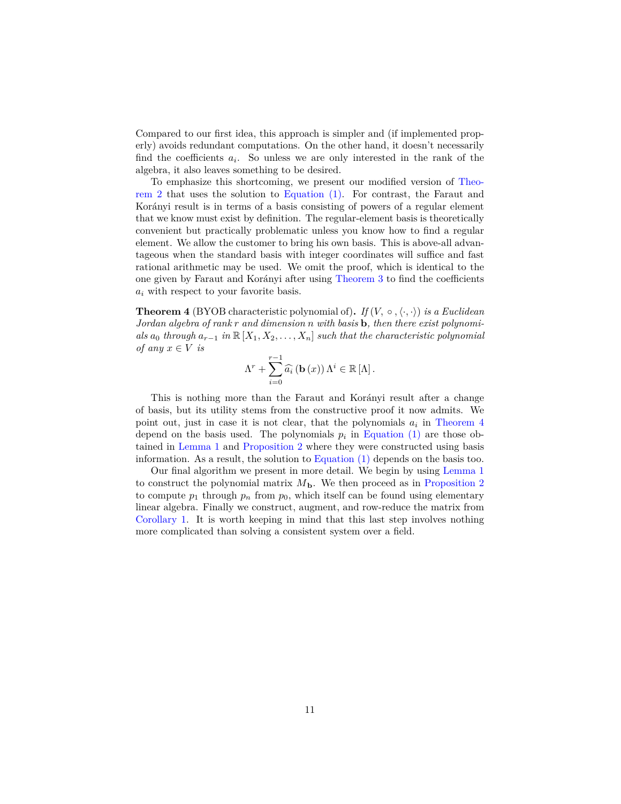Compared to our first idea, this approach is simpler and (if implemented properly) avoids redundant computations. On the other hand, it doesn't necessarily find the coefficients  $a_i$ . So unless we are only interested in the rank of the algebra, it also leaves something to be desired.

To emphasize this shortcoming, we present our modified version of [Theo](#page-3-0)[rem 2](#page-3-0) that uses the solution to [Equation \(1\).](#page-7-2) For contrast, the Faraut and Korányi result is in terms of a basis consisting of powers of a regular element that we know must exist by definition. The regular-element basis is theoretically convenient but practically problematic unless you know how to find a regular element. We allow the customer to bring his own basis. This is above-all advantageous when the standard basis with integer coordinates will suffice and fast rational arithmetic may be used. We omit the proof, which is identical to the one given by Faraut and Korányi after using [Theorem 3](#page-6-0) to find the coefficients *a<sup>i</sup>* with respect to your favorite basis.

<span id="page-10-0"></span>**Theorem 4** (BYOB characteristic polynomial of). If  $(V, \circ, \langle \cdot, \cdot \rangle)$  is a Euclidean *Jordan algebra of rank r and dimension n with basis* **b***, then there exist polynomials*  $a_0$  *through*  $a_{r-1}$  *in*  $\mathbb{R}[X_1, X_2, \ldots, X_n]$  *such that the characteristic polynomial of any*  $x \in V$  *is* 

$$
\Lambda^{r} + \sum_{i=0}^{r-1} \widehat{a}_{i} \left( \mathbf{b} \left( x \right) \right) \Lambda^{i} \in \mathbb{R} \left[ \Lambda \right].
$$

This is nothing more than the Faraut and Korányi result after a change of basis, but its utility stems from the constructive proof it now admits. We point out, just in case it is not clear, that the polynomials  $a_i$  in [Theorem 4](#page-10-0) depend on the basis used. The polynomials  $p_i$  in [Equation \(1\)](#page-7-2) are those obtained in [Lemma 1](#page-5-0) and [Proposition 2](#page-6-1) where they were constructed using basis information. As a result, the solution to [Equation \(1\)](#page-7-2) depends on the basis too.

Our final algorithm we present in more detail. We begin by using [Lemma 1](#page-5-0) to construct the polynomial matrix  $M<sub>b</sub>$ . We then proceed as in [Proposition 2](#page-6-1) to compute  $p_1$  through  $p_n$  from  $p_0$ , which itself can be found using elementary linear algebra. Finally we construct, augment, and row-reduce the matrix from [Corollary 1.](#page-9-0) It is worth keeping in mind that this last step involves nothing more complicated than solving a consistent system over a field.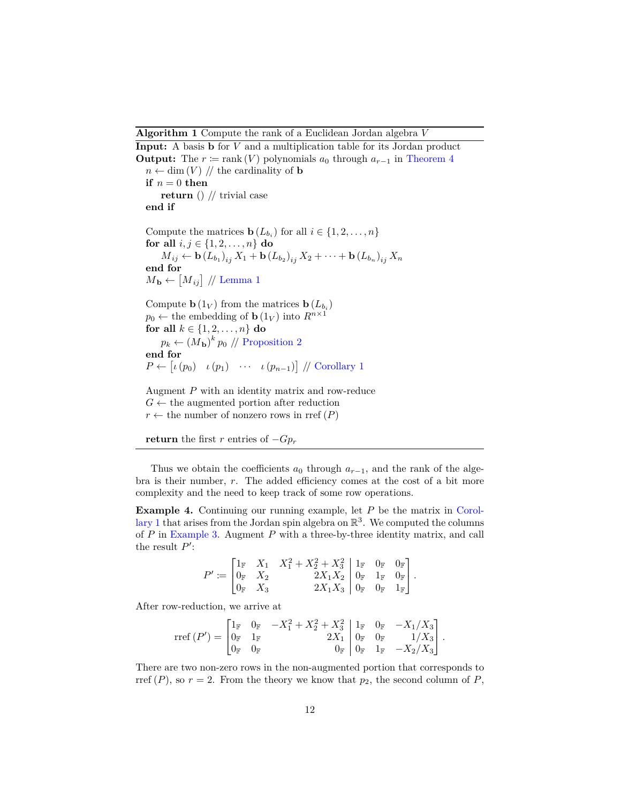**Algorithm 1** Compute the rank of a Euclidean Jordan algebra *V*

<span id="page-11-0"></span>**Input:** A basis **b** for *V* and a multiplication table for its Jordan product **Output:** The  $r := \text{rank}(V)$  polynomials  $a_0$  through  $a_{r-1}$  in [Theorem 4](#page-10-0)  $n \leftarrow \dim(V)$  // the cardinality of **b**  $\mathbf{if}$   $n=0$   $\mathbf{then}$ **return** () // trivial case **end if** Compute the matrices **b**  $(L_{b_i})$  for all  $i \in \{1, 2, \ldots, n\}$ **for all**  $i, j \in \{1, 2, ..., n\}$  **do**  $M_{ij} \leftarrow \mathbf{b} (L_{b_1})_{ij} X_1 + \mathbf{b} (L_{b_2})_{ij} X_2 + \cdots + \mathbf{b} (L_{b_n})_{ij} X_n$ **end for**  $M_{\mathbf{b}} \leftarrow [M_{ij}] / \text{/ Lemma 1}$  $M_{\mathbf{b}} \leftarrow [M_{ij}] / \text{/ Lemma 1}$  $M_{\mathbf{b}} \leftarrow [M_{ij}] / \text{/ Lemma 1}$ Compute  $\mathbf{b}(1_V)$  from the matrices  $\mathbf{b}(L_{b_i})$  $p_0 \leftarrow$  the embedding of **b** (1<sub>*V*</sub>) into  $R^{n \times 1}$ **for all**  $k \in \{1, 2, ..., n\}$  **do**  $p_k \leftarrow (M_{\mathbf{b}})^k p_0 \text{ // Proposition 2}$  $p_k \leftarrow (M_{\mathbf{b}})^k p_0 \text{ // Proposition 2}$  $p_k \leftarrow (M_{\mathbf{b}})^k p_0 \text{ // Proposition 2}$ **end for**  $P \leftarrow [\iota(p_0) \quad \iota(p_1) \quad \cdots \quad \iota(p_{n-1})] \text{ // Corollary 1}$  $P \leftarrow [\iota(p_0) \quad \iota(p_1) \quad \cdots \quad \iota(p_{n-1})] \text{ // Corollary 1}$  $P \leftarrow [\iota(p_0) \quad \iota(p_1) \quad \cdots \quad \iota(p_{n-1})] \text{ // Corollary 1}$ Augment *P* with an identity matrix and row-reduce  $G \leftarrow$  the augmented portion after reduction

 $r \leftarrow$  the number of nonzero rows in rref  $(P)$ 



Thus we obtain the coefficients  $a_0$  through  $a_{r-1}$ , and the rank of the algebra is their number, *r*. The added efficiency comes at the cost of a bit more complexity and the need to keep track of some row operations.

**Example 4.** Continuing our running example, let *P* be the matrix in [Corol](#page-9-0)[lary 1](#page-9-0) that arises from the Jordan spin algebra on  $\mathbb{R}^3$ . We computed the columns of *P* in [Example 3.](#page-6-2) Augment *P* with a three-by-three identity matrix, and call the result  $P'$ :

$$
P' \coloneqq \begin{bmatrix} 1_\mathbb{F} & X_1 & X_1^2 + X_2^2 + X_3^2 \\ 0_\mathbb{F} & X_2 & 2X_1X_2 \\ 0_\mathbb{F} & X_3 & 2X_1X_3 \end{bmatrix} \begin{bmatrix} 1_\mathbb{F} & 0_\mathbb{F} & 0_\mathbb{F} \\ 0_\mathbb{F} & 1_\mathbb{F} & 0_\mathbb{F} \\ 0_\mathbb{F} & 0_\mathbb{F} & 1_\mathbb{F} \end{bmatrix}.
$$

After row-reduction, we arrive at

$$
\mathrm{rref}\,(P') = \begin{bmatrix} 1_\mathbb{F} & 0_\mathbb{F} & -X_1^2 + X_2^2 + X_3^2 \\ 0_\mathbb{F} & 1_\mathbb{F} & 2X_1 \\ 0_\mathbb{F} & 0_\mathbb{F} & 0_\mathbb{F} \end{bmatrix} \begin{bmatrix} 1_\mathbb{F} & 0_\mathbb{F} & -X_1/X_3 \\ 0_\mathbb{F} & 0_\mathbb{F} & 1/X_3 \\ 0_\mathbb{F} & 1_\mathbb{F} & -X_2/X_3 \end{bmatrix}.
$$

There are two non-zero rows in the non-augmented portion that corresponds to rref  $(P)$ , so  $r = 2$ . From the theory we know that  $p_2$ , the second column of  $P$ ,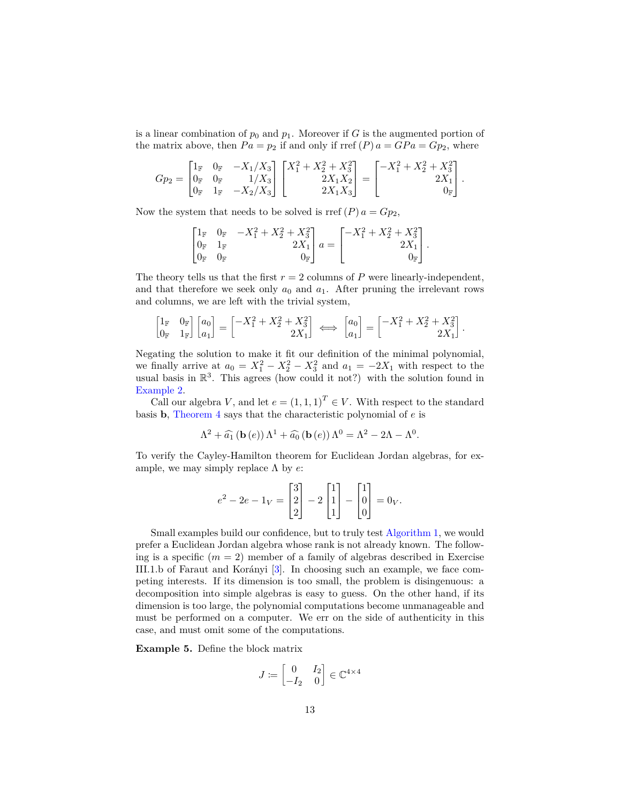is a linear combination of  $p_0$  and  $p_1$ . Moreover if *G* is the augmented portion of the matrix above, then  $Pa = p_2$  if and only if rref  $(P) a = GPa = Gp_2$ , where

$$
Gp_2 = \begin{bmatrix} 1_{\mathbb{F}} & 0_{\mathbb{F}} & -X_1/X_3 \\ 0_{\mathbb{F}} & 0_{\mathbb{F}} & 1/X_3 \\ 0_{\mathbb{F}} & 1_{\mathbb{F}} & -X_2/X_3 \end{bmatrix} \begin{bmatrix} X_1^2 + X_2^2 + X_3^2 \\ 2X_1X_2 \\ 2X_1X_3 \end{bmatrix} = \begin{bmatrix} -X_1^2 + X_2^2 + X_3^2 \\ 2X_1 \\ 0_{\mathbb{F}} \end{bmatrix}.
$$

Now the system that needs to be solved is rref  $(P)$   $a = Gp_2$ ,

$$
\begin{bmatrix} 1_{\mathbb{F}} & 0_{\mathbb{F}} & -X_1^2 + X_2^2 + X_3^2 \\ 0_{\mathbb{F}} & 1_{\mathbb{F}} & 2X_1 \\ 0_{\mathbb{F}} & 0_{\mathbb{F}} & 0_{\mathbb{F}} \end{bmatrix} a = \begin{bmatrix} -X_1^2 + X_2^2 + X_3^2 \\ 2X_1 \\ 0_{\mathbb{F}} \end{bmatrix}.
$$

The theory tells us that the first  $r = 2$  columns of  $P$  were linearly-independent, and that therefore we seek only  $a_0$  and  $a_1$ . After pruning the irrelevant rows and columns, we are left with the trivial system,

$$
\begin{bmatrix} 1_{\mathbb{F}} & 0_{\mathbb{F}} \\ 0_{\mathbb{F}} & 1_{\mathbb{F}} \end{bmatrix} \begin{bmatrix} a_0 \\ a_1 \end{bmatrix} = \begin{bmatrix} -X_1^2 + X_2^2 + X_3^2 \\ 2X_1 \end{bmatrix} \iff \begin{bmatrix} a_0 \\ a_1 \end{bmatrix} = \begin{bmatrix} -X_1^2 + X_2^2 + X_3^2 \\ 2X_1 \end{bmatrix}.
$$

Negating the solution to make it fit our definition of the minimal polynomial, we finally arrive at  $a_0 = X_1^2 - X_2^2 - X_3^2$  and  $a_1 = -2X_1$  with respect to the usual basis in  $\mathbb{R}^3$ . This agrees (how could it not?) with the solution found in [Example 2.](#page-2-0)

Call our algebra *V*, and let  $e = (1, 1, 1)^T \in V$ . With respect to the standard basis **b**, [Theorem 4](#page-10-0) says that the characteristic polynomial of *e* is

$$
\Lambda^2 + \widehat{a_1} \left( \mathbf{b} \left( e \right) \right) \Lambda^1 + \widehat{a_0} \left( \mathbf{b} \left( e \right) \right) \Lambda^0 = \Lambda^2 - 2\Lambda - \Lambda^0.
$$

To verify the Cayley-Hamilton theorem for Euclidean Jordan algebras, for example, we may simply replace Λ by *e*:

$$
e^{2} - 2e - 1_{V} = \begin{bmatrix} 3 \\ 2 \\ 2 \end{bmatrix} - 2 \begin{bmatrix} 1 \\ 1 \\ 1 \end{bmatrix} - \begin{bmatrix} 1 \\ 0 \\ 0 \end{bmatrix} = 0_{V}.
$$

Small examples build our confidence, but to truly test [Algorithm 1,](#page-11-0) we would prefer a Euclidean Jordan algebra whose rank is not already known. The following is a specific  $(m = 2)$  member of a family of algebras described in Exercise III.1.b of Faraut and Korányi [\[3\]](#page-14-2). In choosing such an example, we face competing interests. If its dimension is too small, the problem is disingenuous: a decomposition into simple algebras is easy to guess. On the other hand, if its dimension is too large, the polynomial computations become unmanageable and must be performed on a computer. We err on the side of authenticity in this case, and must omit some of the computations.

**Example 5.** Define the block matrix

$$
J \coloneqq \begin{bmatrix} 0 & I_2 \\ -I_2 & 0 \end{bmatrix} \in \mathbb{C}^{4 \times 4}
$$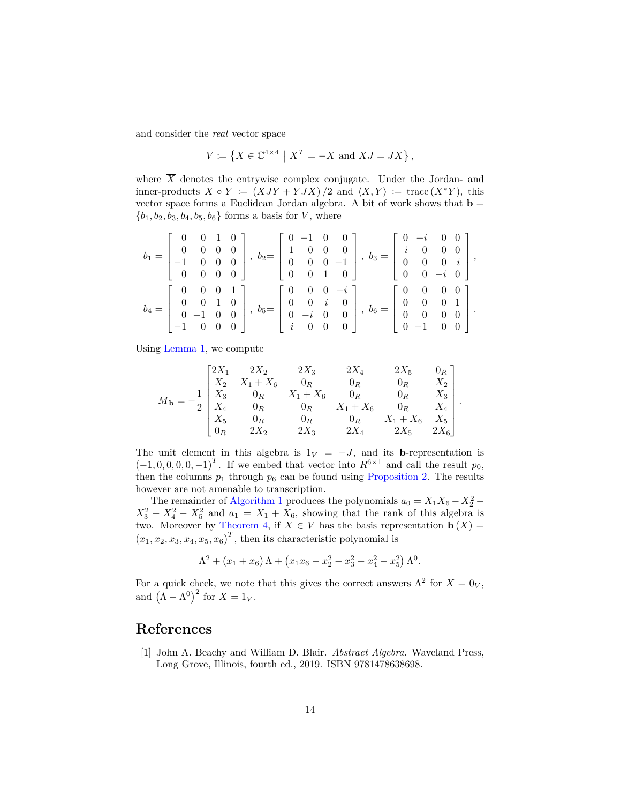and consider the *real* vector space

$$
V \coloneqq \left\{ X \in \mathbb{C}^{4 \times 4} \mid X^T = -X \text{ and } XJ = J\overline{X} \right\},\
$$

where  $\overline{X}$  denotes the entrywise complex conjugate. Under the Jordan- and inner-products  $X \circ Y := (XJY + YJX)/2$  and  $\langle X, Y \rangle := \text{trace}(X^*Y)$ , this vector space forms a Euclidean Jordan algebra. A bit of work shows that  $\mathbf{b} =$  ${b_1, b_2, b_3, b_4, b_5, b_6}$  forms a basis for *V*, where

|           |  |  |  |  | $\begin{bmatrix} 0 & 0 & 1 & 0 \end{bmatrix}$ $\begin{bmatrix} 0 & -1 & 0 & 0 \end{bmatrix}$ $\begin{bmatrix} 0 & -i & 0 & 0 \end{bmatrix}$<br>$b_1 = \begin{bmatrix} 0 & 0 & 0 & 0 \\ -1 & 0 & 0 & 0 \end{bmatrix}$ , $b_2 = \begin{bmatrix} 1 & 0 & 0 & 0 \\ 0 & 0 & 0 & -1 \end{bmatrix}$ , $b_3 = \begin{bmatrix} i & 0 & 0 & 0 \\ 0 & 0 & 0 & i \end{bmatrix}$ ,<br>$\begin{bmatrix} 0 & 0 & 0 & 0 \end{bmatrix}$ $\begin{bmatrix} 0 & 0 & 1 & 0 \end{bmatrix}$ $\begin{bmatrix} 0 & 0 & -i & 0 \end{bmatrix}$ |  |  |  |
|-----------|--|--|--|--|---------------------------------------------------------------------------------------------------------------------------------------------------------------------------------------------------------------------------------------------------------------------------------------------------------------------------------------------------------------------------------------------------------------------------------------------------------------------------------------------------------------------|--|--|--|
| $b_4 = 1$ |  |  |  |  | $\begin{bmatrix} 0 & 0 & 0 & 1 \end{bmatrix}$ $\begin{bmatrix} 0 & 0 & 0 & -i \end{bmatrix}$ $\begin{bmatrix} 0 & 0 & 0 & 0 \end{bmatrix}$<br>$\begin{bmatrix} 0 & 0 & 1 & 0 \ 0 & -1 & 0 & 0 \end{bmatrix}$ , $b_5 = \begin{bmatrix} 0 & 0 & i & 0 \ 0 & -i & 0 & 0 \end{bmatrix}$ , $b_6 = \begin{bmatrix} 0 & 0 & 0 & 1 \ 0 & 0 & 0 & 0 \end{bmatrix}$ .<br>$\begin{bmatrix} -1 & 0 & 0 & 0 \end{bmatrix}$ $\begin{bmatrix} i & 0 & 0 & 0 \end{bmatrix}$ $\begin{bmatrix} 0 & -1 & 0 & 0 \end{bmatrix}$          |  |  |  |

Using [Lemma 1,](#page-5-0) we compute

$$
M_{\mathbf{b}} = -\frac{1}{2} \begin{bmatrix} 2X_1 & 2X_2 & 2X_3 & 2X_4 & 2X_5 & 0_R \\ X_2 & X_1 + X_6 & 0_R & 0_R & 0_R & X_2 \\ X_3 & 0_R & X_1 + X_6 & 0_R & 0_R & X_3 \\ X_4 & 0_R & 0_R & X_1 + X_6 & 0_R & X_4 \\ X_5 & 0_R & 0_R & 0_R & X_1 + X_6 & X_5 \\ 0_R & 2X_2 & 2X_3 & 2X_4 & 2X_5 & 2X_6 \end{bmatrix}.
$$

The unit element in this algebra is  $1_V = -J$ , and its **b**-representation is  $(-1, 0, 0, 0, 0, -1)^T$ . If we embed that vector into  $R^{6 \times 1}$  and call the result  $p_0$ , then the columns  $p_1$  through  $p_6$  can be found using [Proposition 2.](#page-6-1) The results however are not amenable to transcription.

The remainder of [Algorithm 1](#page-11-0) produces the polynomials  $a_0 = X_1 X_6 - X_2^2$  $X_3^2 - X_4^2 - X_5^2$  and  $a_1 = X_1 + X_6$ , showing that the rank of this algebra is two. Moreover by [Theorem 4,](#page-10-0) if  $X \in V$  has the basis representation  $\mathbf{b}(X) =$  $(x_1, x_2, x_3, x_4, x_5, x_6)^T$ , then its characteristic polynomial is

$$
\Lambda^{2} + (x_{1} + x_{6}) \Lambda + (x_{1}x_{6} - x_{2}^{2} - x_{3}^{2} - x_{4}^{2} - x_{5}^{2}) \Lambda^{0}.
$$

For a quick check, we note that this gives the correct answers  $\Lambda^2$  for  $X = 0_V$ , and  $(\Lambda - \Lambda^0)^2$  for  $X = 1_V$ .

#### **References**

<span id="page-13-0"></span>[1] John A. Beachy and William D. Blair. *Abstract Algebra*. Waveland Press, Long Grove, Illinois, fourth ed., 2019. ISBN 9781478638698.